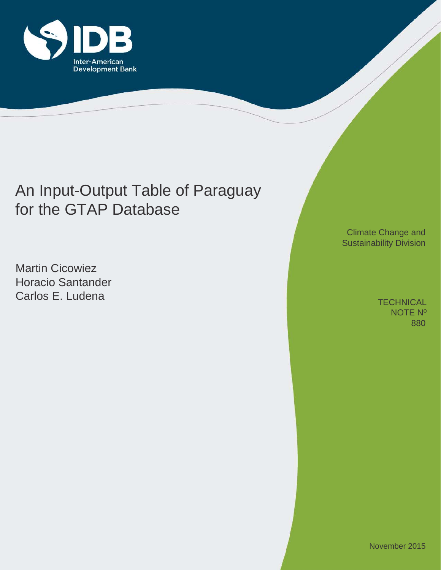

# An Input-Output Table of Paraguay for the GTAP Database

Martin Cicowiez Horacio Santander Carlos E. Ludena

Climate Change and Sustainability Division

> 880 **TECHNICAL** NOTE Nº

November 2015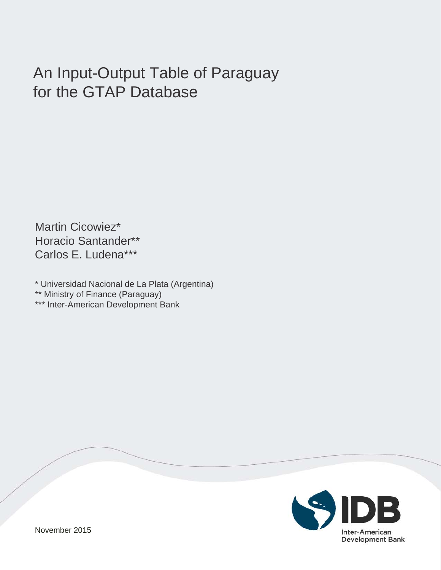# An Input-Output Table of Paraguay for the GTAP Database

Martin Cicowiez\* Horacio Santander\*\* Carlos E. Ludena\*\*\*

\* Universidad Nacional de La Plata (Argentina)

\*\* Ministry of Finance (Paraguay)

\*\*\* Inter-American Development Bank

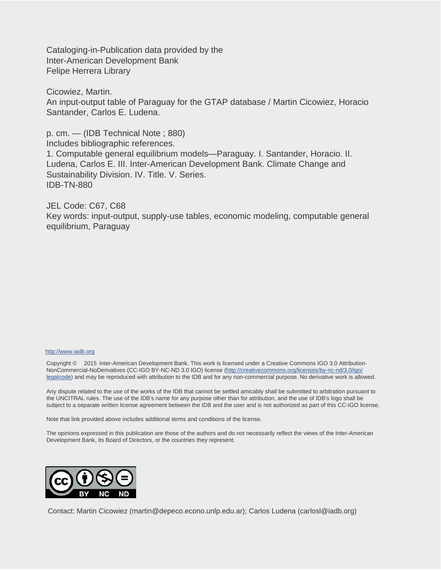Cataloging-in-Publication data provided by the Inter-American Development Bank Felipe Herrera Library

Cicowiez, Martin. An input-output table of Paraguay for the GTAP database / Martin Cicowiez, Horacio Santander, Carlos E. Ludena.

p. cm. — (IDB Technical Note ; 880) Includes bibliographic references.

1. Computable general equilibrium models—Paraguay. I. Santander, Horacio. II. Ludena, Carlos E. III. Inter-American Development Bank. Climate Change and Sustainability Division. IV. Title. V. Series. IDB-TN-880

JEL Code: C67, C68 Key words: input-output, supply-use tables, economic modeling, computable general equilibrium, Paraguay

#### http://www.iadb.org

Copyright © 2015 Inter-American Development Bank. This work is licensed under a Creative Commons IGO 3.0 Attribution-NonCommercial-NoDerivatives (CC-IGO BY-NC-ND 3.0 IGO) license (http://creativecommons.org/licenses/by-nc-nd/3.0/igo/ legalcode) and may be reproduced with attribution to the IDB and for any non-commercial purpose. No derivative work is allowed.

Any dispute related to the use of the works of the IDB that cannot be settled amicably shall be submitted to arbitration pursuant to the UNCITRAL rules. The use of the IDB's name for any purpose other than for attribution, and the use of IDB's logo shall be subject to a separate written license agreement between the IDB and the user and is not authorized as part of this CC-IGO license.

Note that link provided above includes additional terms and conditions of the license.

The opinions expressed in this publication are those of the authors and do not necessarily reflect the views of the Inter-American Development Bank, its Board of Directors, or the countries they represent.



Contact: Martin Cicowiez (martin@depeco.econo.unlp.edu.ar); Carlos Ludena (carlosl@iadb.org)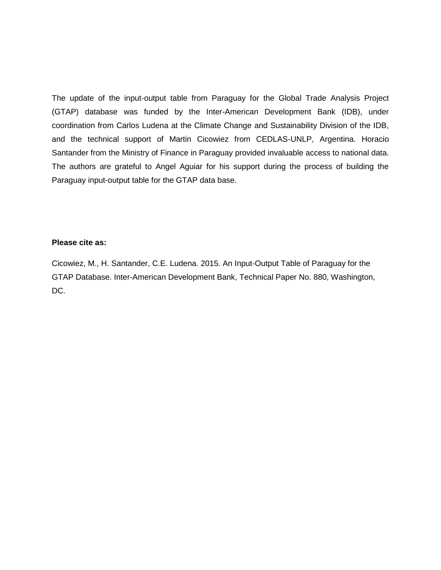The update of the input-output table from Paraguay for the Global Trade Analysis Project (GTAP) database was funded by the Inter-American Development Bank (IDB), under coordination from Carlos Ludena at the Climate Change and Sustainability Division of the IDB, and the technical support of Martin Cicowiez from CEDLAS-UNLP, Argentina. Horacio Santander from the Ministry of Finance in Paraguay provided invaluable access to national data. The authors are grateful to Angel Aguiar for his support during the process of building the Paraguay input-output table for the GTAP data base.

### **Please cite as:**

Cicowiez, M., H. Santander, C.E. Ludena. 2015. An Input-Output Table of Paraguay for the GTAP Database. Inter-American Development Bank, Technical Paper No. 880, Washington, DC.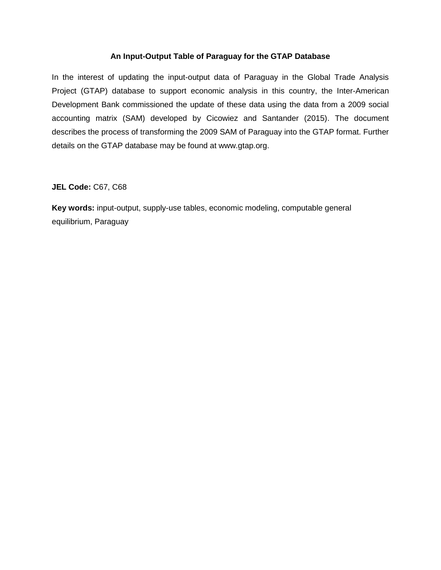## **An Input-Output Table of Paraguay for the GTAP Database**

In the interest of updating the input-output data of Paraguay in the Global Trade Analysis Project (GTAP) database to support economic analysis in this country, the Inter-American Development Bank commissioned the update of these data using the data from a 2009 social accounting matrix (SAM) developed by Cicowiez and Santander (2015). The document describes the process of transforming the 2009 SAM of Paraguay into the GTAP format. Further details on the GTAP database may be found at www.gtap.org.

## **JEL Code:** C67, C68

**Key words:** input-output, supply-use tables, economic modeling, computable general equilibrium, Paraguay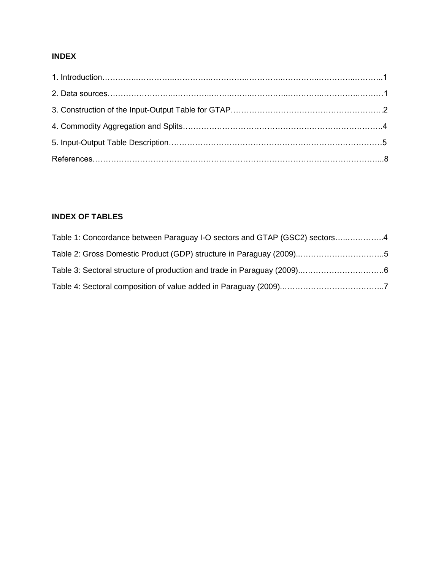## **INDEX**

# **INDEX OF TABLES**

| Table 1: Concordance between Paraguay I-O sectors and GTAP (GSC2) sectors4 |  |
|----------------------------------------------------------------------------|--|
|                                                                            |  |
|                                                                            |  |
|                                                                            |  |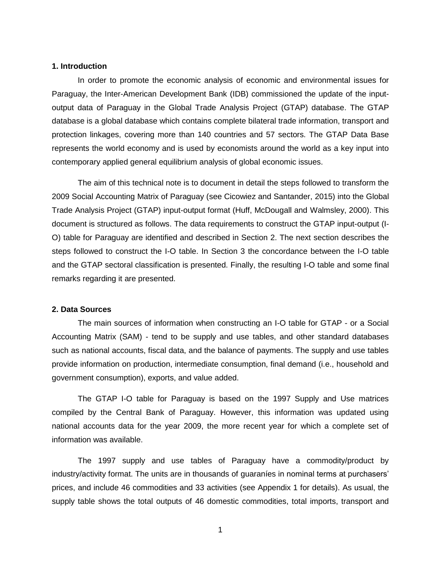#### **1. Introduction**

In order to promote the economic analysis of economic and environmental issues for Paraguay, the Inter-American Development Bank (IDB) commissioned the update of the inputoutput data of Paraguay in the Global Trade Analysis Project (GTAP) database. The GTAP database is a global database which contains complete bilateral trade information, transport and protection linkages, covering more than 140 countries and 57 sectors. The GTAP Data Base represents the world economy and is used by economists around the world as a key input into contemporary applied general equilibrium analysis of global economic issues.

The aim of this technical note is to document in detail the steps followed to transform the 2009 Social Accounting Matrix of Paraguay (see Cicowiez and Santander, 2015) into the Global Trade Analysis Project (GTAP) input-output format (Huff, McDougall and Walmsley, 2000). This document is structured as follows. The data requirements to construct the GTAP input-output (I-O) table for Paraguay are identified and described in Section 2. The next section describes the steps followed to construct the I-O table. In Section 3 the concordance between the I-O table and the GTAP sectoral classification is presented. Finally, the resulting I-O table and some final remarks regarding it are presented.

#### **2. Data Sources**

The main sources of information when constructing an I-O table for GTAP - or a Social Accounting Matrix (SAM) - tend to be supply and use tables, and other standard databases such as national accounts, fiscal data, and the balance of payments. The supply and use tables provide information on production, intermediate consumption, final demand (i.e., household and government consumption), exports, and value added.

The GTAP I-O table for Paraguay is based on the 1997 Supply and Use matrices compiled by the Central Bank of Paraguay. However, this information was updated using national accounts data for the year 2009, the more recent year for which a complete set of information was available.

The 1997 supply and use tables of Paraguay have a commodity/product by industry/activity format. The units are in thousands of guaraníes in nominal terms at purchasers' prices, and include 46 commodities and 33 activities (see Appendix 1 for details). As usual, the supply table shows the total outputs of 46 domestic commodities, total imports, transport and

1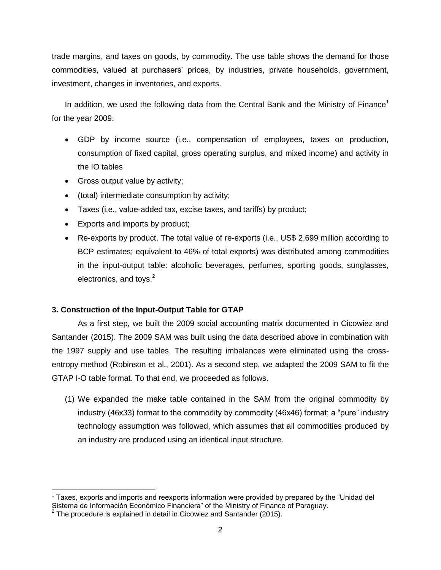trade margins, and taxes on goods, by commodity. The use table shows the demand for those commodities, valued at purchasers' prices, by industries, private households, government, investment, changes in inventories, and exports.

In addition, we used the following data from the Central Bank and the Ministry of Finance<sup>1</sup> for the year 2009:

- GDP by income source (i.e., compensation of employees, taxes on production, consumption of fixed capital, gross operating surplus, and mixed income) and activity in the IO tables
- Gross output value by activity;
- (total) intermediate consumption by activity;
- Taxes (i.e., value-added tax, excise taxes, and tariffs) by product;
- Exports and imports by product;
- Re-exports by product. The total value of re-exports (i.e., US\$ 2,699 million according to BCP estimates; equivalent to 46% of total exports) was distributed among commodities in the input-output table: alcoholic beverages, perfumes, sporting goods, sunglasses, electronics, and toys. $2$

## **3. Construction of the Input-Output Table for GTAP**

As a first step, we built the 2009 social accounting matrix documented in Cicowiez and Santander (2015). The 2009 SAM was built using the data described above in combination with the 1997 supply and use tables. The resulting imbalances were eliminated using the crossentropy method (Robinson et al., 2001). As a second step, we adapted the 2009 SAM to fit the GTAP I-O table format. To that end, we proceeded as follows.

(1) We expanded the make table contained in the SAM from the original commodity by industry (46x33) format to the commodity by commodity (46x46) format; a "pure" industry technology assumption was followed, which assumes that all commodities produced by an industry are produced using an identical input structure.

 $\overline{a}$  $<sup>1</sup>$  Taxes, exports and imports and reexports information were provided by prepared by the "Unidad del</sup> Sistema de Información Económico Financiera" of the Ministry of Finance of Paraguay.<br><sup>2</sup> The procedure is explained in detail in Cicowiez and Santander (2015).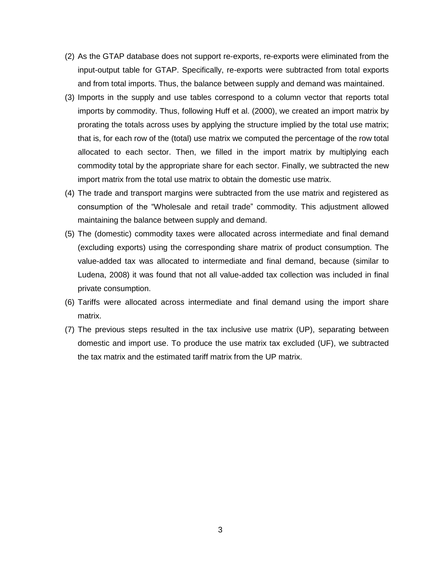- (2) As the GTAP database does not support re-exports, re-exports were eliminated from the input-output table for GTAP. Specifically, re-exports were subtracted from total exports and from total imports. Thus, the balance between supply and demand was maintained.
- (3) Imports in the supply and use tables correspond to a column vector that reports total imports by commodity. Thus, following Huff et al. (2000), we created an import matrix by prorating the totals across uses by applying the structure implied by the total use matrix; that is, for each row of the (total) use matrix we computed the percentage of the row total allocated to each sector. Then, we filled in the import matrix by multiplying each commodity total by the appropriate share for each sector. Finally, we subtracted the new import matrix from the total use matrix to obtain the domestic use matrix.
- (4) The trade and transport margins were subtracted from the use matrix and registered as consumption of the "Wholesale and retail trade" commodity. This adjustment allowed maintaining the balance between supply and demand.
- (5) The (domestic) commodity taxes were allocated across intermediate and final demand (excluding exports) using the corresponding share matrix of product consumption. The value-added tax was allocated to intermediate and final demand, because (similar to Ludena, 2008) it was found that not all value-added tax collection was included in final private consumption.
- (6) Tariffs were allocated across intermediate and final demand using the import share matrix.
- (7) The previous steps resulted in the tax inclusive use matrix (UP), separating between domestic and import use. To produce the use matrix tax excluded (UF), we subtracted the tax matrix and the estimated tariff matrix from the UP matrix.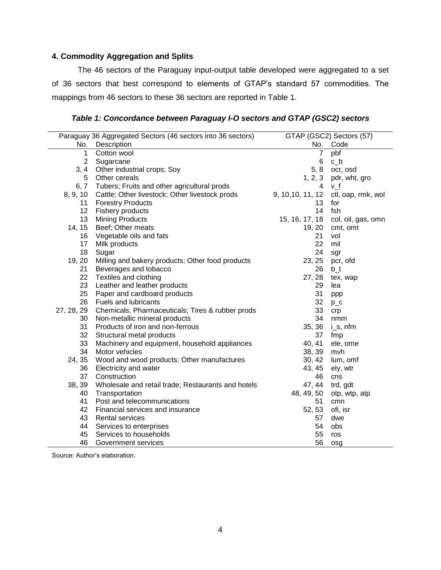## **4. Commodity Aggregation and Splits**

The 46 sectors of the Paraguay input-output table developed were aggregated to a set of 36 sectors that best correspond to elements of GTAP's standard 57 commodities. The mappings from 46 sectors to these 36 sectors are reported in Table 1.

## *Table 1: Concordance between Paraguay I-O sectors and GTAP (GSC2) sectors*

| Paraguay 36 Aggregated Sectors (46 sectors into 36 sectors) |                                                    |                   | GTAP (GSC2) Sectors (57) |
|-------------------------------------------------------------|----------------------------------------------------|-------------------|--------------------------|
| No.                                                         | Description                                        |                   | No. Code                 |
| 1                                                           | Cotton wool                                        | 7                 | pbf                      |
| $\overline{2}$                                              | Sugarcane                                          | 6                 | $c_b$                    |
| 3, 4                                                        | Other industrial crops; Soy                        | 5, 8              | ocr, osd                 |
| 5                                                           | Other cereals                                      | 1, 2, 3           | pdr, wht, gro            |
| 6, 7                                                        | Tubers; Fruits and other agricultural prods        | 4                 | v_f                      |
| 8, 9, 10                                                    | Cattle; Other livestock; Other livestock prods     | 9, 10, 10, 11, 12 | ctl, oap, rmk, wol       |
| 11                                                          | <b>Forestry Products</b>                           | 13                | for                      |
| 12                                                          | Fishery products                                   | 14                | fsh                      |
| 13                                                          | <b>Mining Products</b>                             | 15, 16, 17, 18    | col, oil, gas, omn       |
| 14, 15                                                      | Beef; Other meats                                  | 19, 20            | cmt, omt                 |
| 16                                                          | Vegetable oils and fats                            | 21                | vol                      |
| 17                                                          | Milk products                                      | 22                | mil                      |
| 18                                                          | Sugar                                              | 24                | sgr                      |
| 19, 20                                                      | Milling and bakery products; Other food products   | 23, 25            | pcr, ofd                 |
| 21                                                          | Beverages and tobacco                              | 26                | $b_t$                    |
| 22                                                          | Textiles and clothing                              | 27, 28            | tex, wap                 |
| 23                                                          | Leather and leather products                       | 29                | lea                      |
| 25                                                          | Paper and cardboard products                       | 31                | ppp                      |
| 26                                                          | Fuels and lubricants                               | 32 <sub>2</sub>   | $p_{C}$                  |
| 27, 28, 29                                                  | Chemicals, Pharmaceuticals; Tires & rubber prods   | 33                | crp                      |
| 30                                                          | Non-metallic mineral products                      | 34                | nmm                      |
| 31                                                          | Products of iron and non-ferrous                   | 35, 36            | $i$ <sub>_</sub> s, nfm  |
| 32                                                          | Structural metal products                          | 37                | fmp                      |
| 33                                                          | Machinery and equipment, household appliances      | 40, 41            | ele, ome                 |
| 34                                                          | Motor vehicles                                     | 38, 39            | mvh                      |
| 24, 35                                                      | Wood and wood products; Other manufactures         | 30, 42            | lum, omf                 |
| 36                                                          | Electricity and water                              | 43, 45            | ely, wtr                 |
| 37                                                          | Construction                                       | 46                | cns                      |
| 38, 39                                                      | Wholesale and retail trade; Restaurants and hotels | 47, 44            | trd, gdt                 |
| 40                                                          | Transportation                                     | 48, 49, 50        | otp, wtp, atp            |
| 41                                                          | Post and telecommunications                        | 51                | cmn                      |
| 42                                                          | Financial services and insurance                   | 52, 53            | ofi, isr                 |
| 43                                                          | <b>Rental services</b>                             | 57                | dwe                      |
| 44                                                          | Services to enterprises                            | 54                | obs                      |
| 45                                                          | Services to households                             | 55                | ros                      |
| 46                                                          | Government services                                | 56                | osg                      |

Source: Author's elaboration.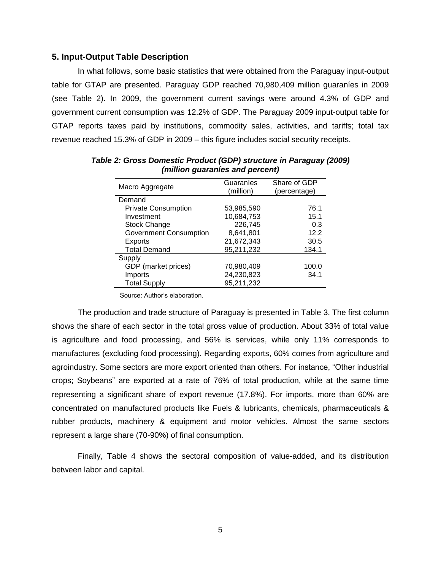#### **5. Input-Output Table Description**

In what follows, some basic statistics that were obtained from the Paraguay input-output table for GTAP are presented. Paraguay GDP reached 70,980,409 million guaraníes in 2009 (see Table 2). In 2009, the government current savings were around 4.3% of GDP and government current consumption was 12.2% of GDP. The Paraguay 2009 input-output table for GTAP reports taxes paid by institutions, commodity sales, activities, and tariffs; total tax revenue reached 15.3% of GDP in 2009 – this figure includes social security receipts.

| Macro Aggregate               | Guaraníes<br>(million) | Share of GDP<br>(percentage) |
|-------------------------------|------------------------|------------------------------|
| Demand                        |                        |                              |
| <b>Private Consumption</b>    | 53,985,590             | 76.1                         |
| Investment                    | 10,684,753             | 15.1                         |
| <b>Stock Change</b>           | 226,745                | 0.3                          |
| <b>Government Consumption</b> | 8,641,801              | 12.2                         |
| Exports                       | 21,672,343             | 30.5                         |
| <b>Total Demand</b>           | 95,211,232             | 134.1                        |
| Supply                        |                        |                              |
| GDP (market prices)           | 70,980,409             | 100.0                        |
| Imports                       | 24,230,823             | 34.1                         |
| <b>Total Supply</b>           | 95,211,232             |                              |

*Table 2: Gross Domestic Product (GDP) structure in Paraguay (2009) (million guaraníes and percent)*

Source: Author's elaboration.

The production and trade structure of Paraguay is presented in Table 3. The first column shows the share of each sector in the total gross value of production. About 33% of total value is agriculture and food processing, and 56% is services, while only 11% corresponds to manufactures (excluding food processing). Regarding exports, 60% comes from agriculture and agroindustry. Some sectors are more export oriented than others. For instance, "Other industrial crops; Soybeans" are exported at a rate of 76% of total production, while at the same time representing a significant share of export revenue (17.8%). For imports, more than 60% are concentrated on manufactured products like Fuels & lubricants, chemicals, pharmaceuticals & rubber products, machinery & equipment and motor vehicles. Almost the same sectors represent a large share (70-90%) of final consumption.

Finally, Table 4 shows the sectoral composition of value-added, and its distribution between labor and capital.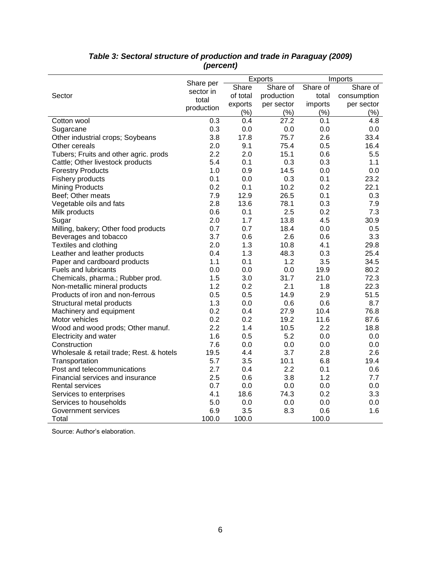|                                          |                        | Exports  |                   | Imports  |             |
|------------------------------------------|------------------------|----------|-------------------|----------|-------------|
|                                          | Share per<br>sector in | Share    | Share of          | Share of | Share of    |
| Sector                                   | total                  | of total | production        | total    | consumption |
|                                          | production             | exports  | per sector        | imports  | per sector  |
|                                          |                        | (% )     | (% )              | (% )     | (%)         |
| Cotton wool                              | 0.3                    | 0.4      | $\overline{27.2}$ | 0.1      | 4.8         |
| Sugarcane                                | 0.3                    | 0.0      | 0.0               | 0.0      | 0.0         |
| Other industrial crops; Soybeans         | 3.8                    | 17.8     | 75.7              | 2.6      | 33.4        |
| Other cereals                            | 2.0                    | 9.1      | 75.4              | 0.5      | 16.4        |
| Tubers; Fruits and other agric. prods    | 2.2                    | 2.0      | 15.1              | 0.6      | 5.5         |
| Cattle; Other livestock products         | 5.4                    | 0.1      | 0.3               | 0.3      | 1.1         |
| <b>Forestry Products</b>                 | 1.0                    | 0.9      | 14.5              | 0.0      | 0.0         |
| Fishery products                         | 0.1                    | 0.0      | 0.3               | 0.1      | 23.2        |
| <b>Mining Products</b>                   | 0.2                    | 0.1      | 10.2              | 0.2      | 22.1        |
| Beef; Other meats                        | 7.9                    | 12.9     | 26.5              | 0.1      | 0.3         |
| Vegetable oils and fats                  | 2.8                    | 13.6     | 78.1              | 0.3      | 7.9         |
| Milk products                            | 0.6                    | 0.1      | 2.5               | 0.2      | 7.3         |
| Sugar                                    | 2.0                    | 1.7      | 13.8              | 4.5      | 30.9        |
| Milling, bakery; Other food products     | 0.7                    | 0.7      | 18.4              | 0.0      | 0.5         |
| Beverages and tobacco                    | 3.7                    | 0.6      | 2.6               | 0.6      | 3.3         |
| Textiles and clothing                    | 2.0                    | 1.3      | 10.8              | 4.1      | 29.8        |
| Leather and leather products             | 0.4                    | 1.3      | 48.3              | 0.3      | 25.4        |
| Paper and cardboard products             | 1.1                    | 0.1      | 1.2               | 3.5      | 34.5        |
| <b>Fuels and lubricants</b>              | 0.0                    | 0.0      | 0.0               | 19.9     | 80.2        |
| Chemicals, pharma.; Rubber prod.         | 1.5                    | 3.0      | 31.7              | 21.0     | 72.3        |
| Non-metallic mineral products            | 1.2                    | 0.2      | 2.1               | 1.8      | 22.3        |
| Products of iron and non-ferrous         | 0.5                    | 0.5      | 14.9              | 2.9      | 51.5        |
| Structural metal products                | 1.3                    | 0.0      | 0.6               | 0.6      | 8.7         |
| Machinery and equipment                  | 0.2                    | 0.4      | 27.9              | 10.4     | 76.8        |
| Motor vehicles                           | 0.2                    | 0.2      | 19.2              | 11.6     | 87.6        |
| Wood and wood prods; Other manuf.        | 2.2                    | 1.4      | 10.5              | 2.2      | 18.8        |
| Electricity and water                    | 1.6                    | 0.5      | 5.2               | 0.0      | 0.0         |
| Construction                             | 7.6                    | 0.0      | 0.0               | 0.0      | 0.0         |
| Wholesale & retail trade; Rest. & hotels | 19.5                   | 4.4      | 3.7               | 2.8      | 2.6         |
| Transportation                           | 5.7                    | 3.5      | 10.1              | 6.8      | 19.4        |
| Post and telecommunications              | 2.7                    | 0.4      | 2.2               | 0.1      | 0.6         |
| Financial services and insurance         | 2.5                    | 0.6      | 3.8               | 1.2      | 7.7         |
| <b>Rental services</b>                   | 0.7                    | 0.0      | 0.0               | 0.0      | 0.0         |
| Services to enterprises                  | 4.1                    | 18.6     | 74.3              | 0.2      | 3.3         |
| Services to households                   | 5.0                    | 0.0      | 0.0               | 0.0      | 0.0         |
| Government services                      | 6.9                    | 3.5      | 8.3               | 0.6      | 1.6         |
| Total                                    | 100.0                  | 100.0    |                   | 100.0    |             |

## *Table 3: Sectoral structure of production and trade in Paraguay (2009) (percent)*

Source: Author's elaboration.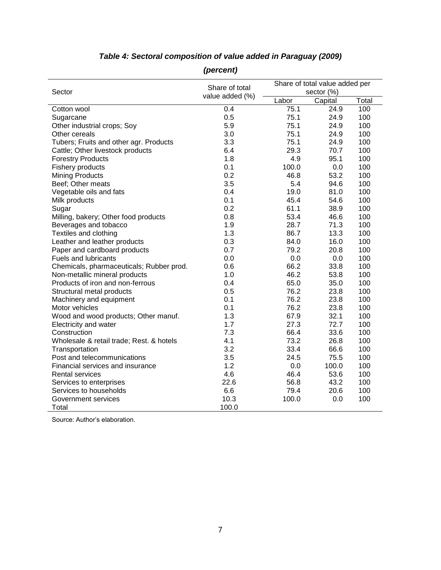|                                          | Share of total  | Share of total value added per |            |       |
|------------------------------------------|-----------------|--------------------------------|------------|-------|
| Sector                                   | value added (%) |                                | sector (%) |       |
|                                          |                 | Labor                          | Capital    | Total |
| Cotton wool                              | 0.4             | 75.1                           | 24.9       | 100   |
| Sugarcane                                | 0.5             | 75.1                           | 24.9       | 100   |
| Other industrial crops; Soy              | 5.9             | 75.1                           | 24.9       | 100   |
| Other cereals                            | 3.0             | 75.1                           | 24.9       | 100   |
| Tubers; Fruits and other agr. Products   | 3.3             | 75.1                           | 24.9       | 100   |
| Cattle; Other livestock products         | 6.4             | 29.3                           | 70.7       | 100   |
| <b>Forestry Products</b>                 | 1.8             | 4.9                            | 95.1       | 100   |
| Fishery products                         | 0.1             | 100.0                          | 0.0        | 100   |
| <b>Mining Products</b>                   | 0.2             | 46.8                           | 53.2       | 100   |
| Beef; Other meats                        | 3.5             | 5.4                            | 94.6       | 100   |
| Vegetable oils and fats                  | 0.4             | 19.0                           | 81.0       | 100   |
| Milk products                            | 0.1             | 45.4                           | 54.6       | 100   |
| Sugar                                    | 0.2             | 61.1                           | 38.9       | 100   |
| Milling, bakery; Other food products     | 0.8             | 53.4                           | 46.6       | 100   |
| Beverages and tobacco                    | 1.9             | 28.7                           | 71.3       | 100   |
| Textiles and clothing                    | 1.3             | 86.7                           | 13.3       | 100   |
| Leather and leather products             | 0.3             | 84.0                           | 16.0       | 100   |
| Paper and cardboard products             | 0.7             | 79.2                           | 20.8       | 100   |
| <b>Fuels and lubricants</b>              | 0.0             | 0.0                            | 0.0        | 100   |
| Chemicals, pharmaceuticals; Rubber prod. | 0.6             | 66.2                           | 33.8       | 100   |
| Non-metallic mineral products            | 1.0             | 46.2                           | 53.8       | 100   |
| Products of iron and non-ferrous         | 0.4             | 65.0                           | 35.0       | 100   |
| Structural metal products                | 0.5             | 76.2                           | 23.8       | 100   |
| Machinery and equipment                  | 0.1             | 76.2                           | 23.8       | 100   |
| Motor vehicles                           | 0.1             | 76.2                           | 23.8       | 100   |
| Wood and wood products; Other manuf.     | 1.3             | 67.9                           | 32.1       | 100   |
| Electricity and water                    | 1.7             | 27.3                           | 72.7       | 100   |
| Construction                             | 7.3             | 66.4                           | 33.6       | 100   |
| Wholesale & retail trade; Rest. & hotels | 4.1             | 73.2                           | 26.8       | 100   |
| Transportation                           | 3.2             | 33.4                           | 66.6       | 100   |
| Post and telecommunications              | 3.5             | 24.5                           | 75.5       | 100   |
| Financial services and insurance         | 1.2             | 0.0                            | 100.0      | 100   |
| <b>Rental services</b>                   | 4.6             | 46.4                           | 53.6       | 100   |
| Services to enterprises                  | 22.6            | 56.8                           | 43.2       | 100   |
| Services to households                   | 6.6             | 79.4                           | 20.6       | 100   |
| Government services                      | 10.3            | 100.0                          | 0.0        | 100   |
| Total                                    | 100.0           |                                |            |       |

# *Table 4: Sectoral composition of value added in Paraguay (2009)*

*(percent)*

Source: Author's elaboration.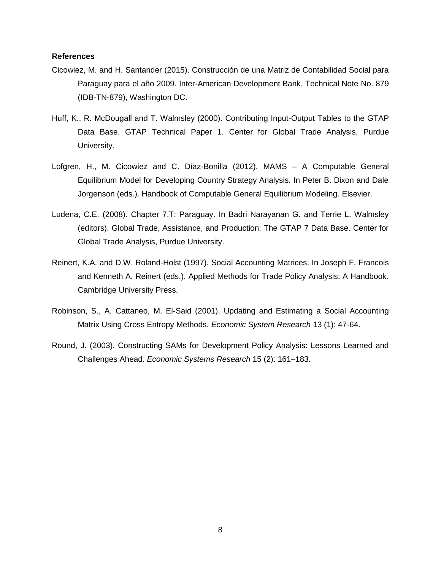#### **References**

- Cicowiez, M. and H. Santander (2015). Construcción de una Matriz de Contabilidad Social para Paraguay para el año 2009. Inter-American Development Bank, Technical Note No. 879 (IDB-TN-879), Washington DC.
- Huff, K., R. McDougall and T. Walmsley (2000). Contributing Input-Output Tables to the GTAP Data Base. GTAP Technical Paper 1. Center for Global Trade Analysis, Purdue University.
- Lofgren, H., M. Cicowiez and C. Díaz-Bonilla (2012). MAMS A Computable General Equilibrium Model for Developing Country Strategy Analysis. In Peter B. Dixon and Dale Jorgenson (eds.). Handbook of Computable General Equilibrium Modeling. Elsevier.
- Ludena, C.E. (2008). Chapter 7.T: Paraguay. In Badri Narayanan G. and Terrie L. Walmsley (editors). Global Trade, Assistance, and Production: The GTAP 7 Data Base. Center for Global Trade Analysis, Purdue University.
- Reinert, K.A. and D.W. Roland-Holst (1997). Social Accounting Matrices. In Joseph F. Francois and Kenneth A. Reinert (eds.). Applied Methods for Trade Policy Analysis: A Handbook. Cambridge University Press.
- Robinson, S., A. Cattaneo, M. El-Said (2001). Updating and Estimating a Social Accounting Matrix Using Cross Entropy Methods. *Economic System Research* 13 (1): 47-64.
- Round, J. (2003). Constructing SAMs for Development Policy Analysis: Lessons Learned and Challenges Ahead. *Economic Systems Research* 15 (2): 161–183.